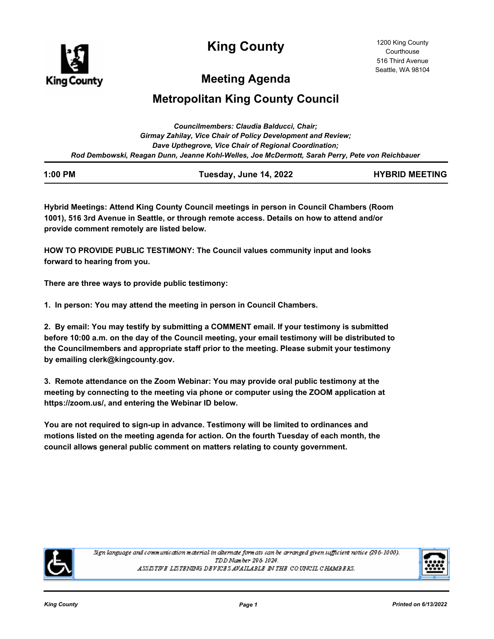

**King County**

# **Meeting Agenda**

# **Metropolitan King County Council**

| Councilmembers: Claudia Balducci, Chair;                                                        |
|-------------------------------------------------------------------------------------------------|
| Girmay Zahilay, Vice Chair of Policy Development and Review;                                    |
| Dave Upthegrove, Vice Chair of Regional Coordination;                                           |
| Rod Dembowski, Reagan Dunn, Jeanne Kohl-Welles, Joe McDermott, Sarah Perry, Pete von Reichbauer |

| $1:00$ PM | Tuesday, June 14, 2022 | <b>HYBRID MEETING</b> |
|-----------|------------------------|-----------------------|
|           |                        |                       |

**Hybrid Meetings: Attend King County Council meetings in person in Council Chambers (Room 1001), 516 3rd Avenue in Seattle, or through remote access. Details on how to attend and/or provide comment remotely are listed below.**

**HOW TO PROVIDE PUBLIC TESTIMONY: The Council values community input and looks forward to hearing from you.**

**There are three ways to provide public testimony:**

**1. In person: You may attend the meeting in person in Council Chambers.**

**2. By email: You may testify by submitting a COMMENT email. If your testimony is submitted before 10:00 a.m. on the day of the Council meeting, your email testimony will be distributed to the Councilmembers and appropriate staff prior to the meeting. Please submit your testimony by emailing clerk@kingcounty.gov.**

**3. Remote attendance on the Zoom Webinar: You may provide oral public testimony at the meeting by connecting to the meeting via phone or computer using the ZOOM application at https://zoom.us/, and entering the Webinar ID below.**

**You are not required to sign-up in advance. Testimony will be limited to ordinances and motions listed on the meeting agenda for action. On the fourth Tuesday of each month, the council allows general public comment on matters relating to county government.**



Sign language and communication material in alternate formats can be arranged given sufficient notice (296-1000). TDD Number 296-1024. ASSISTIVE LISTENING DEVICES AVAILABLE IN THE COUNCIL CHAMBERS.

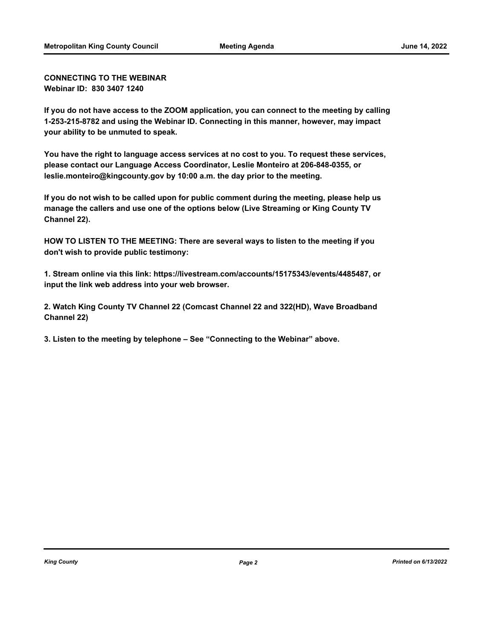**CONNECTING TO THE WEBINAR Webinar ID: 830 3407 1240**

**If you do not have access to the ZOOM application, you can connect to the meeting by calling 1-253-215-8782 and using the Webinar ID. Connecting in this manner, however, may impact your ability to be unmuted to speak.**

**You have the right to language access services at no cost to you. To request these services, please contact our Language Access Coordinator, Leslie Monteiro at 206-848-0355, or leslie.monteiro@kingcounty.gov by 10:00 a.m. the day prior to the meeting.**

**If you do not wish to be called upon for public comment during the meeting, please help us manage the callers and use one of the options below (Live Streaming or King County TV Channel 22).**

**HOW TO LISTEN TO THE MEETING: There are several ways to listen to the meeting if you don't wish to provide public testimony:**

**1. Stream online via this link: https://livestream.com/accounts/15175343/events/4485487, or input the link web address into your web browser.**

**2. Watch King County TV Channel 22 (Comcast Channel 22 and 322(HD), Wave Broadband Channel 22)**

**3. Listen to the meeting by telephone – See "Connecting to the Webinar" above.**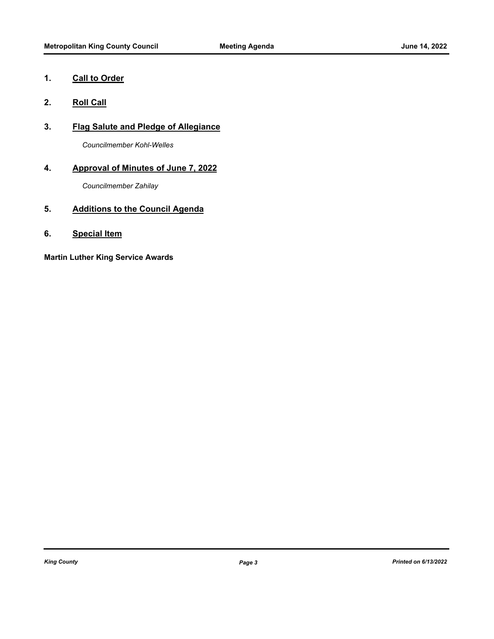## **1. Call to Order**

- **2. Roll Call**
- **3. Flag Salute and Pledge of Allegiance**

*Councilmember Kohl-Welles*

## **4. Approval of Minutes of June 7, 2022**

*Councilmember Zahilay*

## **5. Additions to the Council Agenda**

**6. Special Item**

**Martin Luther King Service Awards**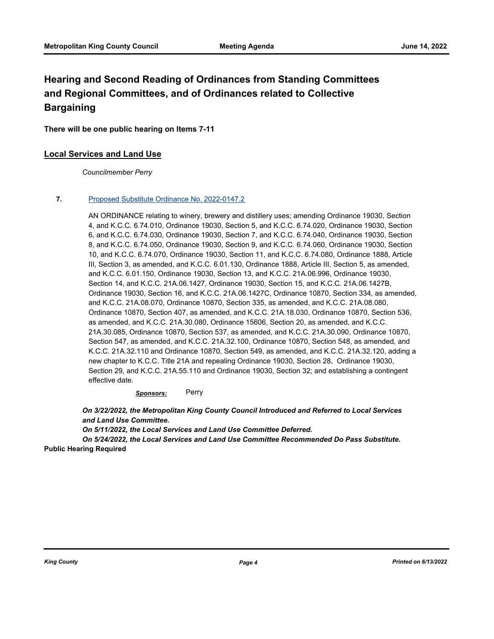## **Hearing and Second Reading of Ordinances from Standing Committees and Regional Committees, and of Ordinances related to Collective Bargaining**

**There will be one public hearing on Items 7-11**

#### **Local Services and Land Use**

*Councilmember Perry*

#### **7.** [Proposed Substitute Ordinance No. 2022-0147.2](http://kingcounty.legistar.com/gateway.aspx?m=l&id=/matter.aspx?key=23007)

AN ORDINANCE relating to winery, brewery and distillery uses; amending Ordinance 19030, Section 4, and K.C.C. 6.74.010, Ordinance 19030, Section 5, and K.C.C. 6.74.020, Ordinance 19030, Section 6, and K.C.C. 6.74.030, Ordinance 19030, Section 7, and K.C.C. 6.74.040, Ordinance 19030, Section 8, and K.C.C. 6.74.050, Ordinance 19030, Section 9, and K.C.C. 6.74.060, Ordinance 19030, Section 10, and K.C.C. 6.74.070, Ordinance 19030, Section 11, and K.C.C. 6.74.080, Ordinance 1888, Article III, Section 3, as amended, and K.C.C. 6.01.130, Ordinance 1888, Article III, Section 5, as amended, and K.C.C. 6.01.150, Ordinance 19030, Section 13, and K.C.C. 21A.06.996, Ordinance 19030, Section 14, and K.C.C. 21A.06.1427, Ordinance 19030, Section 15, and K.C.C. 21A.06.1427B, Ordinance 19030, Section 16, and K.C.C. 21A.06.1427C, Ordinance 10870, Section 334, as amended, and K.C.C. 21A.08.070, Ordinance 10870, Section 335, as amended, and K.C.C. 21A.08.080, Ordinance 10870, Section 407, as amended, and K.C.C. 21A.18.030, Ordinance 10870, Section 536, as amended, and K.C.C. 21A.30.080, Ordinance 15606, Section 20, as amended, and K.C.C. 21A.30.085, Ordinance 10870, Section 537, as amended, and K.C.C. 21A.30.090, Ordinance 10870, Section 547, as amended, and K.C.C. 21A.32.100, Ordinance 10870, Section 548, as amended, and K.C.C. 21A.32.110 and Ordinance 10870, Section 549, as amended, and K.C.C. 21A.32.120, adding a new chapter to K.C.C. Title 21A and repealing Ordinance 19030, Section 28, Ordinance 19030, Section 29, and K.C.C. 21A.55.110 and Ordinance 19030, Section 32; and establishing a contingent effective date.

*Sponsors:* Perry

*On 3/22/2022, the Metropolitan King County Council Introduced and Referred to Local Services and Land Use Committee.* 

*On 5/11/2022, the Local Services and Land Use Committee Deferred.* 

*On 5/24/2022, the Local Services and Land Use Committee Recommended Do Pass Substitute.* **Public Hearing Required**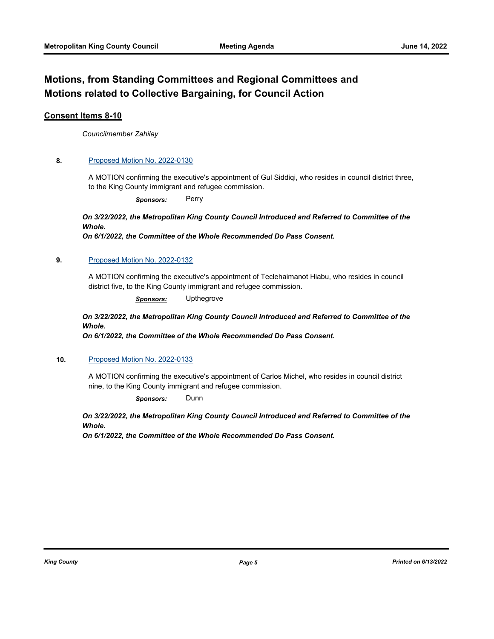## **Motions, from Standing Committees and Regional Committees and Motions related to Collective Bargaining, for Council Action**

#### **Consent Items 8-10**

*Councilmember Zahilay*

#### **8.** [Proposed Motion No. 2022-0130](http://kingcounty.legistar.com/gateway.aspx?m=l&id=/matter.aspx?key=22978)

A MOTION confirming the executive's appointment of Gul Siddiqi, who resides in council district three, to the King County immigrant and refugee commission.

*Sponsors:* Perry

## *On 3/22/2022, the Metropolitan King County Council Introduced and Referred to Committee of the Whole.*

*On 6/1/2022, the Committee of the Whole Recommended Do Pass Consent.*

#### **9.** [Proposed Motion No. 2022-0132](http://kingcounty.legistar.com/gateway.aspx?m=l&id=/matter.aspx?key=22980)

A MOTION confirming the executive's appointment of Teclehaimanot Hiabu, who resides in council district five, to the King County immigrant and refugee commission.

*Sponsors:* Upthegrove

#### *On 3/22/2022, the Metropolitan King County Council Introduced and Referred to Committee of the Whole.*

*On 6/1/2022, the Committee of the Whole Recommended Do Pass Consent.*

#### **10.** [Proposed Motion No. 2022-0133](http://kingcounty.legistar.com/gateway.aspx?m=l&id=/matter.aspx?key=22981)

A MOTION confirming the executive's appointment of Carlos Michel, who resides in council district nine, to the King County immigrant and refugee commission.

*Sponsors:* Dunn

### *On 3/22/2022, the Metropolitan King County Council Introduced and Referred to Committee of the Whole.*

*On 6/1/2022, the Committee of the Whole Recommended Do Pass Consent.*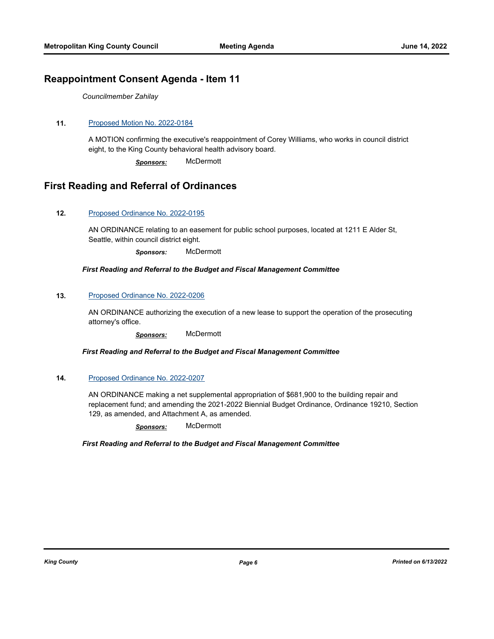## **Reappointment Consent Agenda - Item 11**

*Councilmember Zahilay*

#### **11.** [Proposed Motion No. 2022-0184](http://kingcounty.legistar.com/gateway.aspx?m=l&id=/matter.aspx?key=23102)

A MOTION confirming the executive's reappointment of Corey Williams, who works in council district eight, to the King County behavioral health advisory board.

*Sponsors:* McDermott

## **First Reading and Referral of Ordinances**

#### **12.** [Proposed Ordinance No. 2022-0195](http://kingcounty.legistar.com/gateway.aspx?m=l&id=/matter.aspx?key=23115)

AN ORDINANCE relating to an easement for public school purposes, located at 1211 E Alder St, Seattle, within council district eight.

*Sponsors:* McDermott

#### *First Reading and Referral to the Budget and Fiscal Management Committee*

#### **13.** [Proposed Ordinance No. 2022-0206](http://kingcounty.legistar.com/gateway.aspx?m=l&id=/matter.aspx?key=23145)

AN ORDINANCE authorizing the execution of a new lease to support the operation of the prosecuting attorney's office.

*Sponsors:* McDermott

#### *First Reading and Referral to the Budget and Fiscal Management Committee*

#### **14.** [Proposed Ordinance No. 2022-0207](http://kingcounty.legistar.com/gateway.aspx?m=l&id=/matter.aspx?key=23146)

AN ORDINANCE making a net supplemental appropriation of \$681,900 to the building repair and replacement fund; and amending the 2021-2022 Biennial Budget Ordinance, Ordinance 19210, Section 129, as amended, and Attachment A, as amended.

*Sponsors:* McDermott

*First Reading and Referral to the Budget and Fiscal Management Committee*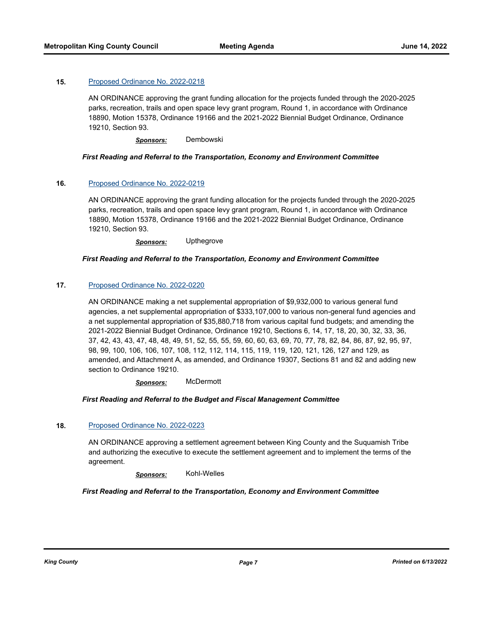#### **15.** [Proposed Ordinance No. 2022-0218](http://kingcounty.legistar.com/gateway.aspx?m=l&id=/matter.aspx?key=23166)

AN ORDINANCE approving the grant funding allocation for the projects funded through the 2020-2025 parks, recreation, trails and open space levy grant program, Round 1, in accordance with Ordinance 18890, Motion 15378, Ordinance 19166 and the 2021-2022 Biennial Budget Ordinance, Ordinance 19210, Section 93.

*Sponsors:* Dembowski

#### *First Reading and Referral to the Transportation, Economy and Environment Committee*

#### **16.** [Proposed Ordinance No. 2022-0219](http://kingcounty.legistar.com/gateway.aspx?m=l&id=/matter.aspx?key=23167)

AN ORDINANCE approving the grant funding allocation for the projects funded through the 2020-2025 parks, recreation, trails and open space levy grant program, Round 1, in accordance with Ordinance 18890, Motion 15378, Ordinance 19166 and the 2021-2022 Biennial Budget Ordinance, Ordinance 19210, Section 93.

*Sponsors:* Upthegrove

#### *First Reading and Referral to the Transportation, Economy and Environment Committee*

#### **17.** [Proposed Ordinance No. 2022-0220](http://kingcounty.legistar.com/gateway.aspx?m=l&id=/matter.aspx?key=23168)

AN ORDINANCE making a net supplemental appropriation of \$9,932,000 to various general fund agencies, a net supplemental appropriation of \$333,107,000 to various non-general fund agencies and a net supplemental appropriation of \$35,880,718 from various capital fund budgets; and amending the 2021-2022 Biennial Budget Ordinance, Ordinance 19210, Sections 6, 14, 17, 18, 20, 30, 32, 33, 36, 37, 42, 43, 43, 47, 48, 48, 49, 51, 52, 55, 55, 59, 60, 60, 63, 69, 70, 77, 78, 82, 84, 86, 87, 92, 95, 97, 98, 99, 100, 106, 106, 107, 108, 112, 112, 114, 115, 119, 119, 120, 121, 126, 127 and 129, as amended, and Attachment A, as amended, and Ordinance 19307, Sections 81 and 82 and adding new section to Ordinance 19210.

*Sponsors:* McDermott

#### *First Reading and Referral to the Budget and Fiscal Management Committee*

#### **18.** [Proposed Ordinance No. 2022-0223](http://kingcounty.legistar.com/gateway.aspx?m=l&id=/matter.aspx?key=23176)

AN ORDINANCE approving a settlement agreement between King County and the Suquamish Tribe and authorizing the executive to execute the settlement agreement and to implement the terms of the agreement.

*Sponsors:* Kohl-Welles

#### *First Reading and Referral to the Transportation, Economy and Environment Committee*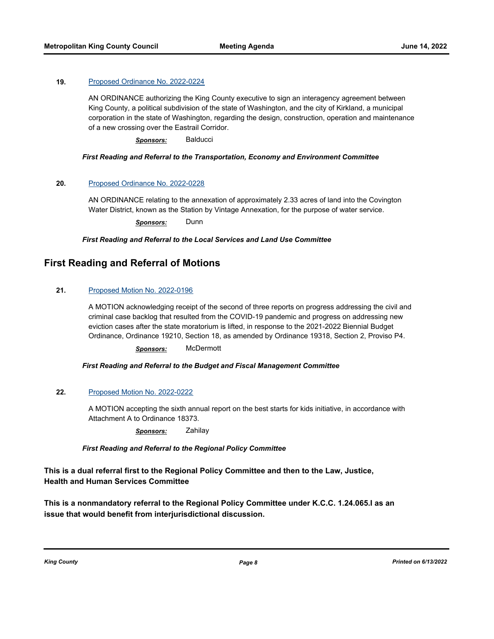#### **19.** [Proposed Ordinance No. 2022-0224](http://kingcounty.legistar.com/gateway.aspx?m=l&id=/matter.aspx?key=23178)

AN ORDINANCE authorizing the King County executive to sign an interagency agreement between King County, a political subdivision of the state of Washington, and the city of Kirkland, a municipal corporation in the state of Washington, regarding the design, construction, operation and maintenance of a new crossing over the Eastrail Corridor.

*Sponsors:* Balducci

#### *First Reading and Referral to the Transportation, Economy and Environment Committee*

#### **20.** [Proposed Ordinance No. 2022-0228](http://kingcounty.legistar.com/gateway.aspx?m=l&id=/matter.aspx?key=23183)

AN ORDINANCE relating to the annexation of approximately 2.33 acres of land into the Covington Water District, known as the Station by Vintage Annexation, for the purpose of water service.

*Sponsors:* Dunn

*First Reading and Referral to the Local Services and Land Use Committee*

## **First Reading and Referral of Motions**

#### **21.** [Proposed Motion No. 2022-0196](http://kingcounty.legistar.com/gateway.aspx?m=l&id=/matter.aspx?key=23116)

A MOTION acknowledging receipt of the second of three reports on progress addressing the civil and criminal case backlog that resulted from the COVID-19 pandemic and progress on addressing new eviction cases after the state moratorium is lifted, in response to the 2021-2022 Biennial Budget Ordinance, Ordinance 19210, Section 18, as amended by Ordinance 19318, Section 2, Proviso P4.

*Sponsors:* McDermott

*First Reading and Referral to the Budget and Fiscal Management Committee*

#### **22.** [Proposed Motion No. 2022-0222](http://kingcounty.legistar.com/gateway.aspx?m=l&id=/matter.aspx?key=23175)

A MOTION accepting the sixth annual report on the best starts for kids initiative, in accordance with Attachment A to Ordinance 18373.

*Sponsors:* Zahilay

*First Reading and Referral to the Regional Policy Committee*

**This is a dual referral first to the Regional Policy Committee and then to the Law, Justice, Health and Human Services Committee**

**This is a nonmandatory referral to the Regional Policy Committee under K.C.C. 1.24.065.I as an issue that would benefit from interjurisdictional discussion.**